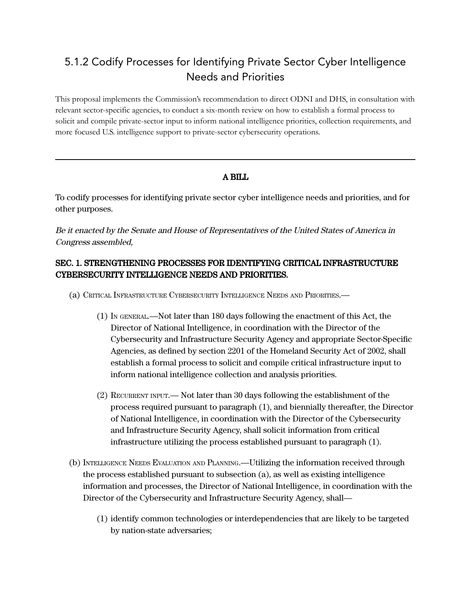## 5.1.2 Codify Processes for Identifying Private Sector Cyber Intelligence Needs and Priorities

This proposal implements the Commission's recommendation to direct ODNI and DHS, in consultation with relevant sector-specific agencies, to conduct a six-month review on how to establish a formal process to solicit and compile private-sector input to inform national intelligence priorities, collection requirements, and more focused U.S. intelligence support to private-sector cybersecurity operations.

## A BILL

To codify processes for identifying private sector cyber intelligence needs and priorities, and for other purposes.

Be it enacted by the Senate and House of Representatives of the United States of America in Congress assembled,

## SEC. 1. STRENGTHENING PROCESSES FOR IDENTIFYING CRITICAL INFRASTRUCTURE CYBERSECURITY INTELLIGENCE NEEDS AND PRIORITIES.

- (a) CRITICAL INFRASTRUCTURE CYBERSECURITY INTELLIGENCE NEEDS AND PRIORITIES.—
	- (1) IN GENERAL.—Not later than 180 days following the enactment of this Act, the Director of National Intelligence, in coordination with the Director of the Cybersecurity and Infrastructure Security Agency and appropriate Sector-Specific Agencies, as defined by section 2201 of the Homeland Security Act of 2002, shall establish a formal process to solicit and compile critical infrastructure input to inform national intelligence collection and analysis priorities.
	- (2) RECURRENT INPUT.— Not later than 30 days following the establishment of the process required pursuant to paragraph (1), and biennially thereafter, the Director of National Intelligence, in coordination with the Director of the Cybersecurity and Infrastructure Security Agency, shall solicit information from critical infrastructure utilizing the process established pursuant to paragraph (1).
- (b) INTELLIGENCE NEEDS EVALUATION AND PLANNING.—Utilizing the information received through the process established pursuant to subsection (a), as well as existing intelligence information and processes, the Director of National Intelligence, in coordination with the Director of the Cybersecurity and Infrastructure Security Agency, shall—
	- (1) identify common technologies or interdependencies that are likely to be targeted by nation-state adversaries;